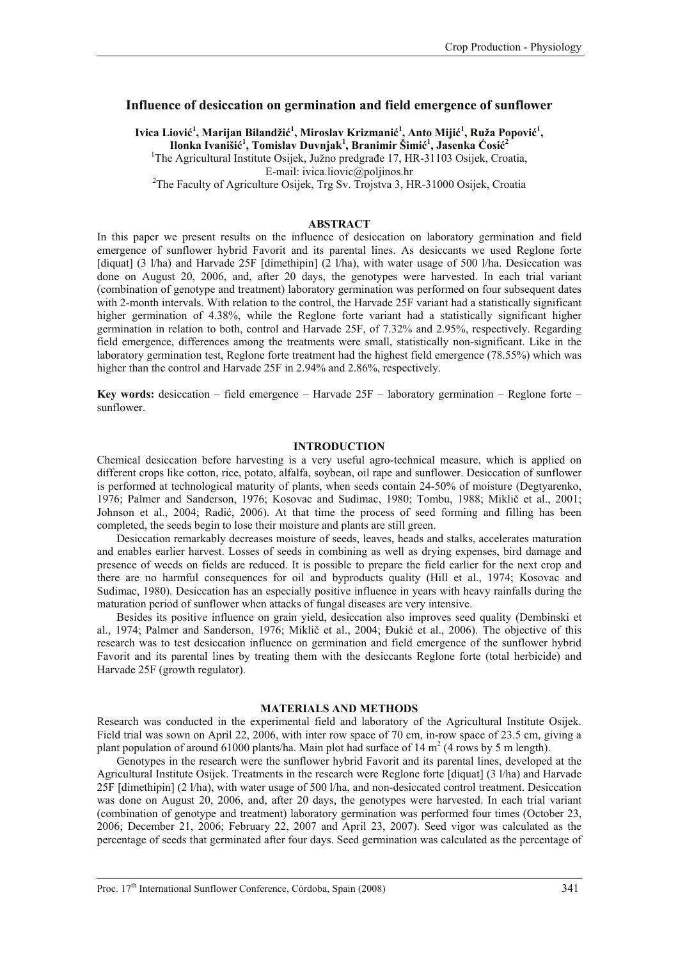## **Influence of desiccation on germination and field emergence of sunflower**

## **Ivica Liović 1 , Marijan Bilandžić 1 , Miroslav Krizmanić 1 , Anto Mijić 1 , Ruža Popović 1 ,**   $I$ lonka Ivanišić<sup>1</sup>, Tomislav Duvnjak<sup>1</sup>, Branimir Šimić<sup>1</sup>, Jasenka Ćosić<sup>2</sup>

<sup>1</sup>The Agricultural Institute Osijek, Južno predgrađe 17, HR-31103 Osijek, Croatia,

E-mail: ivica.liovic@poljinos.hr<br><sup>2</sup>The Faculty of Agriculture Osijek, Trg Sv. Trojstva 3, HR-31000 Osijek, Croatia

### **ABSTRACT**

In this paper we present results on the influence of desiccation on laboratory germination and field emergence of sunflower hybrid Favorit and its parental lines. As desiccants we used Reglone forte [diquat] (3 l/ha) and Harvade 25F [dimethipin] (2 l/ha), with water usage of 500 l/ha. Desiccation was done on August 20, 2006, and, after 20 days, the genotypes were harvested. In each trial variant (combination of genotype and treatment) laboratory germination was performed on four subsequent dates with 2-month intervals. With relation to the control, the Harvade 25F variant had a statistically significant higher germination of 4.38%, while the Reglone forte variant had a statistically significant higher germination in relation to both, control and Harvade 25F, of 7.32% and 2.95%, respectively. Regarding field emergence, differences among the treatments were small, statistically non-significant. Like in the laboratory germination test, Reglone forte treatment had the highest field emergence (78.55%) which was higher than the control and Harvade 25F in 2.94% and 2.86%, respectively.

**Key words:** desiccation – field emergence – Harvade 25F – laboratory germination – Reglone forte – sunflower.

#### **INTRODUCTION**

Chemical desiccation before harvesting is a very useful agro-technical measure, which is applied on different crops like cotton, rice, potato, alfalfa, soybean, oil rape and sunflower. Desiccation of sunflower is performed at technological maturity of plants, when seeds contain 24-50% of moisture (Degtyarenko, 1976; Palmer and Sanderson, 1976; Kosovac and Sudimac, 1980; Tombu, 1988; Miklič et al., 2001; Johnson et al., 2004; Radić, 2006). At that time the process of seed forming and filling has been completed, the seeds begin to lose their moisture and plants are still green.

Desiccation remarkably decreases moisture of seeds, leaves, heads and stalks, accelerates maturation and enables earlier harvest. Losses of seeds in combining as well as drying expenses, bird damage and presence of weeds on fields are reduced. It is possible to prepare the field earlier for the next crop and there are no harmful consequences for oil and byproducts quality (Hill et al., 1974; Kosovac and Sudimac, 1980). Desiccation has an especially positive influence in years with heavy rainfalls during the maturation period of sunflower when attacks of fungal diseases are very intensive.

Besides its positive influence on grain yield, desiccation also improves seed quality (Dembinski et al., 1974; Palmer and Sanderson, 1976; Miklič et al., 2004; Đukić et al., 2006). The objective of this research was to test desiccation influence on germination and field emergence of the sunflower hybrid Favorit and its parental lines by treating them with the desiccants Reglone forte (total herbicide) and Harvade 25F (growth regulator).

### **MATERIALS AND METHODS**

Research was conducted in the experimental field and laboratory of the Agricultural Institute Osijek. Field trial was sown on April 22, 2006, with inter row space of 70 cm, in-row space of 23.5 cm, giving a plant population of around 61000 plants/ha. Main plot had surface of 14  $m<sup>2</sup>$  (4 rows by 5 m length).

Genotypes in the research were the sunflower hybrid Favorit and its parental lines, developed at the Agricultural Institute Osijek. Treatments in the research were Reglone forte [diquat] (3 l/ha) and Harvade 25F [dimethipin] (2 l/ha), with water usage of 500 l/ha, and non-desiccated control treatment. Desiccation was done on August 20, 2006, and, after 20 days, the genotypes were harvested. In each trial variant (combination of genotype and treatment) laboratory germination was performed four times (October 23, 2006; December 21, 2006; February 22, 2007 and April 23, 2007). Seed vigor was calculated as the percentage of seeds that germinated after four days. Seed germination was calculated as the percentage of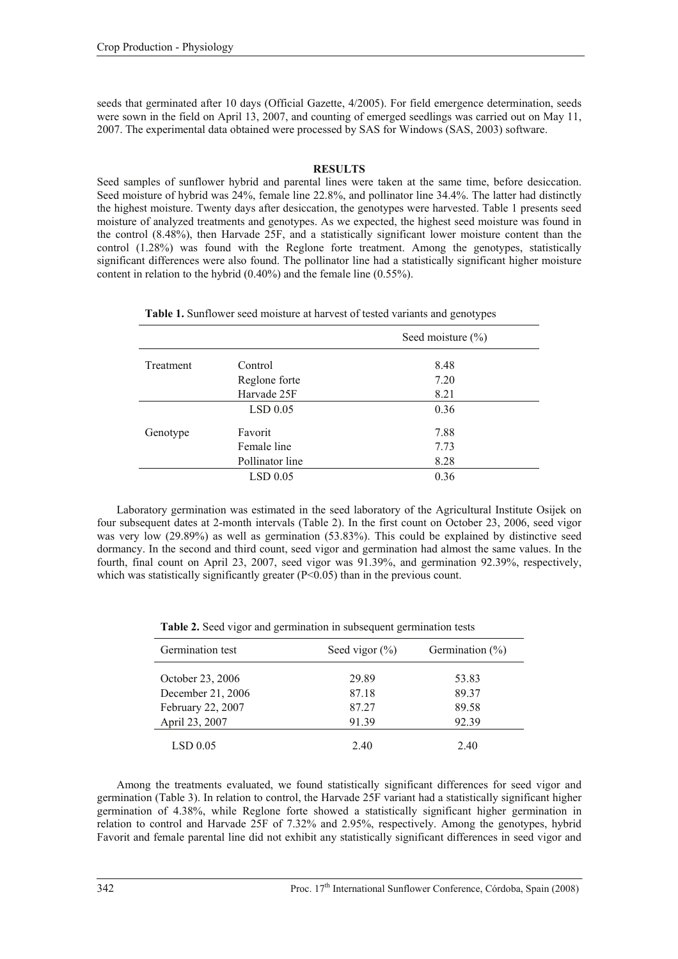seeds that germinated after 10 days (Official Gazette, 4/2005). For field emergence determination, seeds were sown in the field on April 13, 2007, and counting of emerged seedlings was carried out on May 11, 2007. The experimental data obtained were processed by SAS for Windows (SAS, 2003) software.

# **RESULTS**

Seed samples of sunflower hybrid and parental lines were taken at the same time, before desiccation. Seed moisture of hybrid was 24%, female line 22.8%, and pollinator line 34.4%. The latter had distinctly the highest moisture. Twenty days after desiccation, the genotypes were harvested. Table 1 presents seed moisture of analyzed treatments and genotypes. As we expected, the highest seed moisture was found in the control (8.48%), then Harvade 25F, and a statistically significant lower moisture content than the control (1.28%) was found with the Reglone forte treatment. Among the genotypes, statistically significant differences were also found. The pollinator line had a statistically significant higher moisture content in relation to the hybrid (0.40%) and the female line (0.55%).

|  |  |  | Table 1. Sunflower seed moisture at harvest of tested variants and genotypes |  |  |
|--|--|--|------------------------------------------------------------------------------|--|--|
|--|--|--|------------------------------------------------------------------------------|--|--|

|           |                 | Seed moisture $(\% )$ |
|-----------|-----------------|-----------------------|
| Treatment | Control         | 8.48                  |
|           | Reglone forte   | 7.20                  |
|           | Harvade 25F     | 8.21                  |
|           | $LSD$ 0.05      | 0.36                  |
| Genotype  | Favorit         | 7.88                  |
|           | Female line     | 7.73                  |
|           | Pollinator line | 8.28                  |
|           | $LSD$ 0.05      | 0.36                  |

Laboratory germination was estimated in the seed laboratory of the Agricultural Institute Osijek on four subsequent dates at 2-month intervals (Table 2). In the first count on October 23, 2006, seed vigor was very low (29.89%) as well as germination (53.83%). This could be explained by distinctive seed dormancy. In the second and third count, seed vigor and germination had almost the same values. In the fourth, final count on April 23, 2007, seed vigor was 91.39%, and germination 92.39%, respectively, which was statistically significantly greater (P<0.05) than in the previous count.

|  |  |  |  |  | Table 2. Seed vigor and germination in subsequent germination tests |  |  |  |  |
|--|--|--|--|--|---------------------------------------------------------------------|--|--|--|--|
|--|--|--|--|--|---------------------------------------------------------------------|--|--|--|--|

| Germination test  | Seed vigor $(\% )$ | Germination $(\% )$ |
|-------------------|--------------------|---------------------|
| October 23, 2006  | 29.89              | 53.83               |
| December 21, 2006 | 87.18              | 89 37               |
| February 22, 2007 | 87.27              | 89.58               |
| April 23, 2007    | 91.39              | 92.39               |
| LSD 0.05          | 2.40               | 2.40                |

Among the treatments evaluated, we found statistically significant differences for seed vigor and germination (Table 3). In relation to control, the Harvade 25F variant had a statistically significant higher germination of 4.38%, while Reglone forte showed a statistically significant higher germination in relation to control and Harvade 25F of 7.32% and 2.95%, respectively. Among the genotypes, hybrid Favorit and female parental line did not exhibit any statistically significant differences in seed vigor and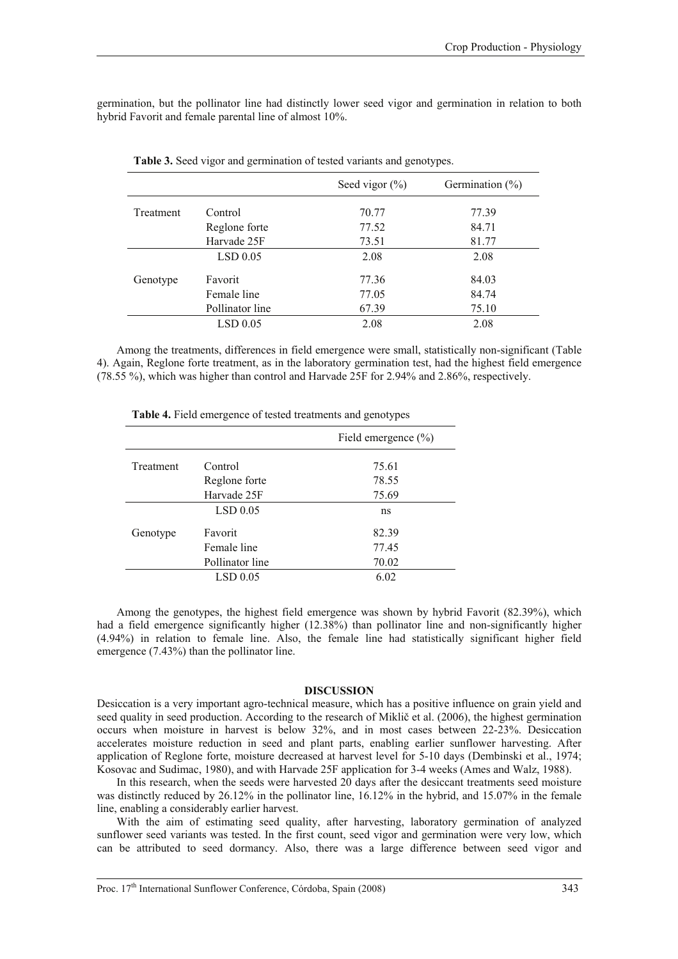germination, but the pollinator line had distinctly lower seed vigor and germination in relation to both hybrid Favorit and female parental line of almost 10%.

|           |                 | Seed vigor $(\% )$ | Germination $(\% )$ |
|-----------|-----------------|--------------------|---------------------|
| Treatment | Control         | 70.77              | 77.39               |
|           | Reglone forte   | 77.52              | 84.71               |
|           | Harvade 25F     | 73.51              | 81.77               |
|           | $LSD$ 0.05      | 2.08               | 2.08                |
| Genotype  | Favorit         | 77.36              | 84.03               |
|           | Female line     | 77.05              | 84.74               |
|           | Pollinator line | 67.39              | 75.10               |
|           | LSD 0.05        | 2.08               | 2.08                |

**Table 3.** Seed vigor and germination of tested variants and genotypes.

Among the treatments, differences in field emergence were small, statistically non-significant (Table 4). Again, Reglone forte treatment, as in the laboratory germination test, had the highest field emergence (78.55 %), which was higher than control and Harvade 25F for 2.94% and 2.86%, respectively.

|           |                 | Field emergence $(\% )$ |
|-----------|-----------------|-------------------------|
| Treatment | Control         | 75.61                   |
|           | Reglone forte   | 78.55                   |
|           | Harvade 25F     | 75.69                   |
|           | LSD 0.05        | ns                      |
| Genotype  | Favorit         | 82.39                   |
|           | Female line     | 77.45                   |
|           | Pollinator line | 70.02                   |
|           | LSD 0.05        | 6.02                    |

**Table 4.** Field emergence of tested treatments and genotypes

Among the genotypes, the highest field emergence was shown by hybrid Favorit (82.39%), which had a field emergence significantly higher (12.38%) than pollinator line and non-significantly higher (4.94%) in relation to female line. Also, the female line had statistically significant higher field emergence (7.43%) than the pollinator line.

### **DISCUSSION**

Desiccation is a very important agro-technical measure, which has a positive influence on grain yield and seed quality in seed production. According to the research of Miklič et al. (2006), the highest germination occurs when moisture in harvest is below 32%, and in most cases between 22-23%. Desiccation accelerates moisture reduction in seed and plant parts, enabling earlier sunflower harvesting. After application of Reglone forte, moisture decreased at harvest level for 5-10 days (Dembinski et al., 1974; Kosovac and Sudimac, 1980), and with Harvade 25F application for 3-4 weeks (Ames and Walz, 1988).

In this research, when the seeds were harvested 20 days after the desiccant treatments seed moisture was distinctly reduced by 26.12% in the pollinator line, 16.12% in the hybrid, and 15.07% in the female line, enabling a considerably earlier harvest.

With the aim of estimating seed quality, after harvesting, laboratory germination of analyzed sunflower seed variants was tested. In the first count, seed vigor and germination were very low, which can be attributed to seed dormancy. Also, there was a large difference between seed vigor and